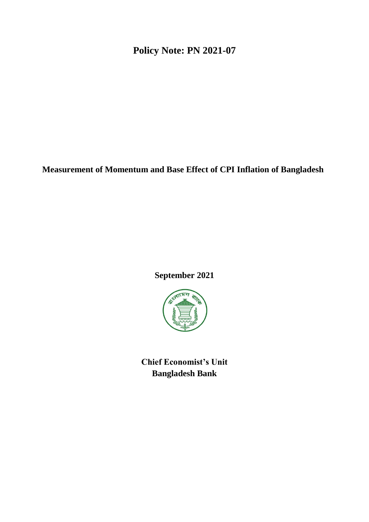**Policy Note: PN 2021-07**

**Measurement of Momentum and Base Effect of CPI Inflation of Bangladesh**

# **September 2021**



**Chief Economist's Unit Bangladesh Bank**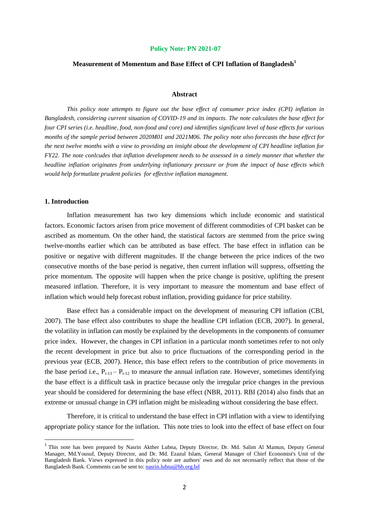#### **Policy Note: PN 2021-07**

## **Measurement of Momentum and Base Effect of CPI Inflation of Bangladesh<sup>1</sup>**

#### **Abstract**

*This policy note attempts to figure out the base effect of consumer price index (CPI) inflation in Bangladesh, considering current situation of COVID-19 and its impacts. The note calculates the base effect for four CPI series (i.e. headline, food, non-food and core) and identifies significant level of base effects for various months of the sample period between 2020M01 and 2021M06. The policy note also forecasts the base effect for the next twelve months with a view to providing an insight about the development of CPI headline inflation for FY22. The note conlcudes that inflation development needs to be assessed in a timely manner that whether the headline inflation originates from underlying inflationary pressure or from the impact of base effects which would help formutlate prudent policies for effective inflation managment.*

#### **1. Introduction**

 $\overline{a}$ 

Inflation measurement has two key dimensions which include economic and statistical factors. Economic factors arisen from price movement of different commodities of CPI basket can be ascribed as momentum. On the other hand, the statistical factors are stemmed from the price swing twelve-months earlier which can be attributed as base effect. The base effect in inflation can be positive or negative with different magnitudes. If the change between the price indices of the two consecutive months of the base period is negative, then current inflation will suppress, offsetting the price momentum. The opposite will happen when the price change is positive, uplifting the present measured inflation. Therefore, it is very important to measure the momentum and base effect of inflation which would help forecast robust inflation, providing guidance for price stability.

Base effect has a considerable impact on the development of measuring CPI inflation (CBI, 2007). The base effect also contributes to shape the headline CPI inflation (ECB, 2007). In general, the volatility in inflation can mostly be explained by the developments in the components of consumer price index. However, the changes in CPI inflation in a particular month sometimes refer to not only the recent development in price but also to price fluctuations of the corresponding period in the previous year (ECB, 2007). Hence, this base effect refers to the contribution of price movements in the base period i.e.,  $P_{t-13} - P_{t-12}$  to measure the annual inflation rate. However, sometimes identifying the base effect is a difficult task in practice because only the irregular price changes in the previous year should be considered for determining the base effect (NBR, 2011). RBI (2014) also finds that an extreme or unusual change in CPI inflation might be misleading without considering the base effect.

Therefore, it is critical to understand the base effect in CPI inflation with a view to identifying appropriate policy stance for the inflation. This note tries to look into the effect of base effect on four

<sup>&</sup>lt;sup>1</sup> This note has been prepared by Nasrin Akther Lubna, Deputy Director, Dr. Md. Salim Al Mamun, Deputy General Manager, Md.Yousuf, Deputy Director, and Dr. Md. Ezazul Islam, General Manager of Chief Economist's Unit of the Bangladesh Bank. Views expressed in this policy note are authors' own and do not necessarily reflect that those of the Bangladesh Bank. Comments can be sent to: [nasrin.lubna@bb.org.bd](mailto:nasrin.lubna@bb.org.bd)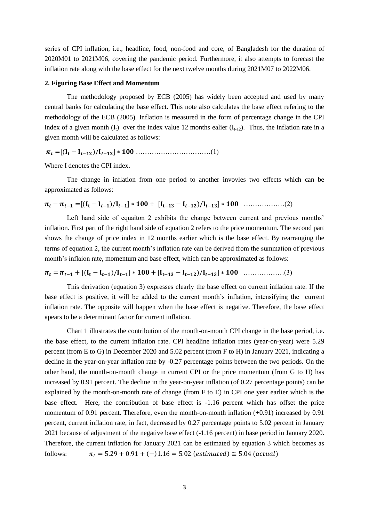series of CPI inflation, i.e., headline, food, non-food and core, of Bangladesh for the duration of 2020M01 to 2021M06, covering the pandemic period. Furthermore, it also attempts to forecast the inflation rate along with the base effect for the next twelve months during 2021M07 to 2022M06.

#### **2. Figuring Base Effect and Momentum**

The methodology proposed by ECB (2005) has widely been accepted and used by many central banks for calculating the base effect. This note also calculates the base effect refering to the methodology of the ECB (2005). Inflation is measured in the form of percentage change in the CPI index of a given month  $(I_t)$  over the index value 12 months ealier  $(I_{t-12})$ . Thus, the inflation rate in a given month will be calculated as follows:

 $\pi_t = [(I_t - I_{t-12})/I_{t-12}] * 100 \dots (1)$ 

Where I denotes the CPI index.

The change in inflation from one period to another invovles two effects which can be approximated as follows:

$$
\pi_t - \pi_{t-1} = [(I_t - I_{t-1})/I_{t-1}] * 100 + [I_{t-13} - I_{t-12})/I_{t-13}] * 100 \dots \dots \dots \dots \dots (2)
$$

Left hand side of equaiton 2 exhibits the change between current and previous months' inflation. First part of the right hand side of equation 2 refers to the price momentum. The second part shows the change of price index in 12 months earlier which is the base effect. By rearranging the terms of equation 2, the current month's inflation rate can be derived from the summation of previous month's inflaion rate, momentum and base effect, which can be approximated as follows:

………………(3)

This derivation (equation 3) expresses clearly the base effect on current inflation rate. If the base effect is positive, it will be added to the current month's inflation, intensifying the current inflation rate. The opposite will happen when the base effect is negative. Therefore, the base effect apears to be a determinant factor for current inflation.

Chart 1 illustrates the contribution of the month-on-month CPI change in the base period, i.e. the base effect, to the current inflation rate. CPI headline inflation rates (year-on-year) were 5.29 percent (from E to G) in December 2020 and 5.02 percent (from F to H) in January 2021, indicating a decline in the year-on-year inflation rate by -0.27 percentage points between the two periods. On the other hand, the month-on-month change in current CPI or the price momentum (from G to H) has increased by 0.91 percent. The decline in the year-on-year inflation (of 0.27 percentage points) can be explained by the month-on-month rate of change (from F to E) in CPI one year earlier which is the base effect. Here, the contribution of base effect is -1.16 percent which has offset the price momentum of 0.91 percent. Therefore, even the month-on-month inflation (+0.91) increased by 0.91 percent, current inflation rate, in fact, decreased by 0.27 percentage points to 5.02 percent in January 2021 because of adjustment of the negative base effect (-1.16 percent) in base period in January 2020. Therefore, the current inflation for January 2021 can be estimated by equation 3 which becomes as follows:  $\pi_t = 5.29 + 0.91 + (-)1.16 = 5.02$  (estimated)  $\approx 5.04$  (actual)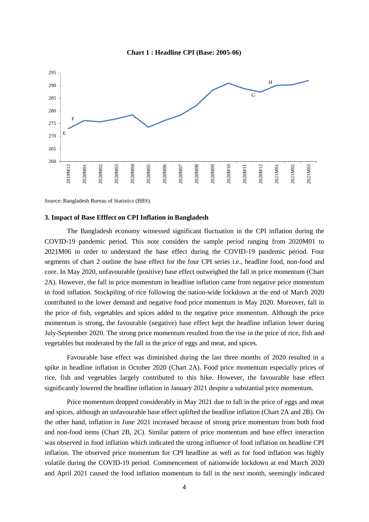



Source: Bangladesh Bureau of Statistics (BBS).

### **3. Impact of Base Efffect on CPI Inflation in Bangladesh**

The Bangladesh economy witnessed significant fluctuation in the CPI inflation during the COVID-19 pandemic period. This note considers the sample period ranging from 2020M01 to 2021M06 in order to understand the base effect during the COVID-19 pandemic period. Four segments of chart 2 outline the base effect for the four CPI series i.e., headline food, non-food and core. In May 2020, unfavourable (positive) base effect outweighed the fall in price momentum (Chart 2A). However, the fall in price momentum in headline inflation came from negative price momentum in food inflation. Stockpiling of rice following the nation-wide lockdown at the end of March 2020 contributed to the lower demand and negative food price momentum in May 2020. Moreover, fall in the price of fish, vegetables and spices added to the negative price momentum. Although the price momentum is strong, the favourable (negative) base effect kept the headline inflation lower during July-September 2020. The strong price momentum resulted from the rise in the price of rice, fish and vegetables but moderated by the fall in the price of eggs and meat, and spices.

Favourable base effect was diminished during the last three months of 2020 resulted in a spike in headline inflation in October 2020 (Chart 2A). Food price momentum especially prices of rice, fish and vegetables largely contributed to this hike. However, the favourable base effect significantly lowered the headline inflation in January 2021 despite a substantial price momentum.

Price momentum dropped considerably in May 2021 due to fall in the price of eggs and meat and spices, although an unfavourable base effect uplifted the headline inflation (Chart 2A and 2B). On the other hand, inflation in June 2021 increased because of strong price momentum from both food and non-food items (Chart 2B, 2C). Similar pattern of price momentum and base effect interaction was observed in food inflation which indicated the strong influence of food inflation on headline CPI inflation. The observed price momentum for CPI headline as well as for food inflation was highly volatile during the COVID-19 period. Commencement of nationwide lockdown at end March 2020 and April 2021 caused the food inflation momentum to fall in the next month, seemingly indicated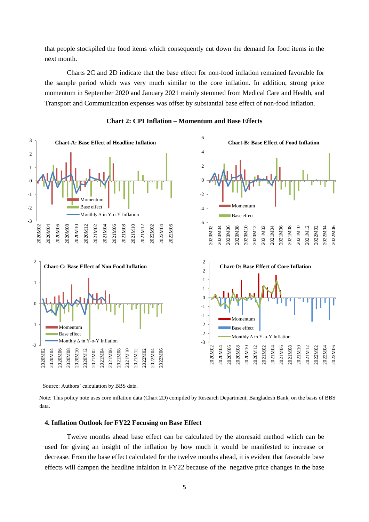that people stockpiled the food items which consequently cut down the demand for food items in the next month.

Charts 2C and 2D indicate that the base effect for non-food inflation remained favorable for the sample period which was very much similar to the core inflation. In addition, strong price momentum in September 2020 and January 2021 mainly stemmed from Medical Care and Health, and Transport and Communication expenses was offset by substantial base effect of non-food inflation.



**Chart 2: CPI Inflation – Momentum and Base Effects**

Source: Authors' calculation by BBS data.

 Note: This policy note uses core inflation data (Chart 2D) compiled by Research Department, Bangladesh Bank, on the basis of BBS data.

#### **4. Inflation Outlook for FY22 Focusing on Base Effect**

Twelve months ahead base effect can be calculated by the aforesaid method which can be used for giving an insight of the inflation by how much it would be manifested to increase or decrease. From the base effect calculated for the twelve months ahead, it is evident that favorable base effects will dampen the headline infaltion in FY22 because of the negative price changes in the base